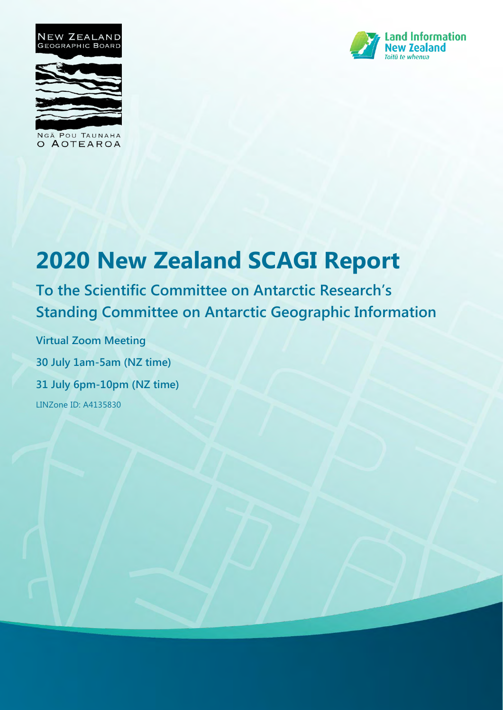

NGĀ POU TAUNAHA O AOTEAROA



# **2020 New Zealand SCAGI Report**

**To the Scientific Committee on Antarctic Research's Standing Committee on Antarctic Geographic Information** 

**Virtual Zoom Meeting 30 July 1am-5am (NZ time) 31 July 6pm-10pm (NZ time)**  LINZone ID: A4135830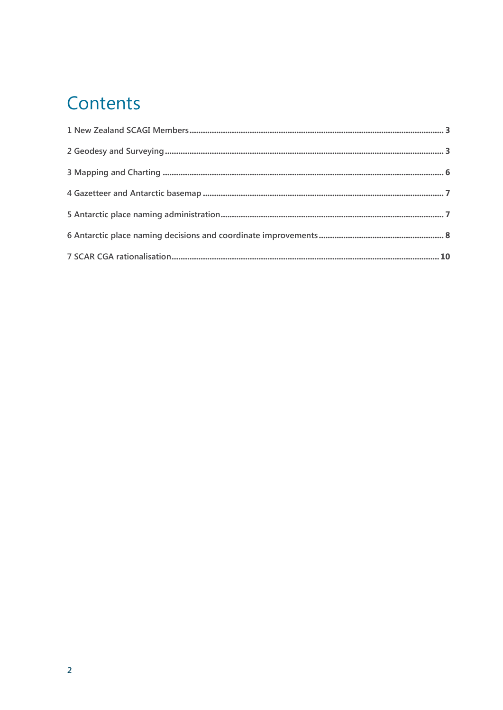## Contents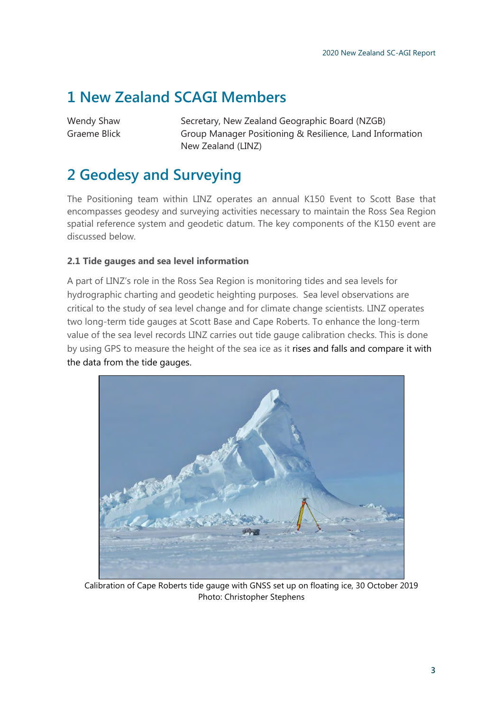### <span id="page-2-0"></span>**1 New Zealand SCAGI Members**

Wendy Shaw Secretary, New Zealand Geographic Board (NZGB) Graeme Blick Group Manager Positioning & Resilience, Land Information New Zealand (LINZ)

### <span id="page-2-1"></span>**2 Geodesy and Surveying**

The Positioning team within LINZ operates an annual K150 Event to Scott Base that encompasses geodesy and surveying activities necessary to maintain the Ross Sea Region spatial reference system and geodetic datum. The key components of the K150 event are discussed below.

### **2.1 Tide gauges and sea level information**

A part of LINZ's role in the Ross Sea Region is monitoring tides and sea levels for hydrographic charting and geodetic heighting purposes. Sea level observations are critical to the study of sea level change and for climate change scientists. LINZ operates two long-term tide gauges at Scott Base and Cape Roberts. To enhance the long-term value of the sea level records LINZ carries out tide gauge calibration checks. This is done by using GPS to measure the height of the sea ice as it rises and falls and compare it with the data from the tide gauges.



Calibration of Cape Roberts tide gauge with GNSS set up on floating ice, 30 October 2019 Photo: Christopher Stephens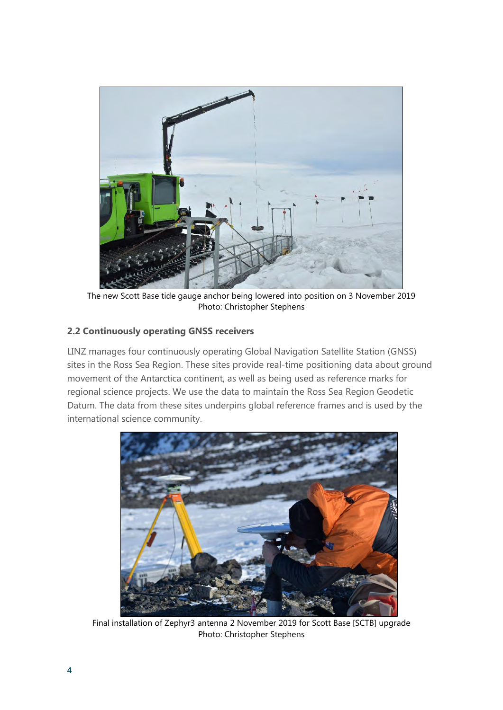

The new Scott Base tide gauge anchor being lowered into position on 3 November 2019 Photo: Christopher Stephens

### **2.2 Continuously operating GNSS receivers**

LINZ manages four continuously operating Global Navigation Satellite Station (GNSS) sites in the Ross Sea Region. These sites provide real-time positioning data about ground movement of the Antarctica continent, as well as being used as reference marks for regional science projects. We use the data to maintain the Ross Sea Region Geodetic Datum. The data from these sites underpins global reference frames and is used by the international science community.



Final installation of Zephyr3 antenna 2 November 2019 for Scott Base [SCTB] upgrade Photo: Christopher Stephens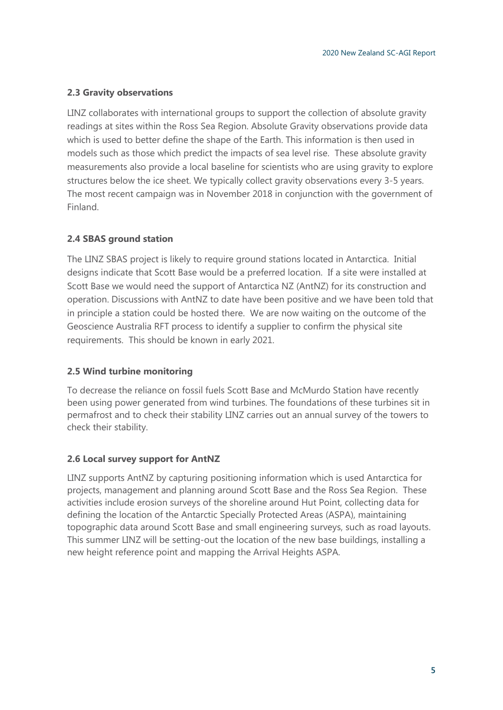#### **2.3 Gravity observations**

LINZ collaborates with international groups to support the collection of absolute gravity readings at sites within the Ross Sea Region. Absolute Gravity observations provide data which is used to better define the shape of the Earth. This information is then used in models such as those which predict the impacts of sea level rise. These absolute gravity measurements also provide a local baseline for scientists who are using gravity to explore structures below the ice sheet. We typically collect gravity observations every 3-5 years. The most recent campaign was in November 2018 in conjunction with the government of Finland.

### **2.4 SBAS ground station**

The LINZ SBAS project is likely to require ground stations located in Antarctica. Initial designs indicate that Scott Base would be a preferred location. If a site were installed at Scott Base we would need the support of Antarctica NZ (AntNZ) for its construction and operation. Discussions with AntNZ to date have been positive and we have been told that in principle a station could be hosted there. We are now waiting on the outcome of the Geoscience Australia RFT process to identify a supplier to confirm the physical site requirements. This should be known in early 2021.

### **2.5 Wind turbine monitoring**

To decrease the reliance on fossil fuels Scott Base and McMurdo Station have recently been using power generated from wind turbines. The foundations of these turbines sit in permafrost and to check their stability LINZ carries out an annual survey of the towers to check their stability.

### **2.6 Local survey support for AntNZ**

LINZ supports AntNZ by capturing positioning information which is used Antarctica for projects, management and planning around Scott Base and the Ross Sea Region. These activities include erosion surveys of the shoreline around Hut Point, collecting data for defining the location of the Antarctic Specially Protected Areas (ASPA), maintaining topographic data around Scott Base and small engineering surveys, such as road layouts. This summer LINZ will be setting-out the location of the new base buildings, installing a new height reference point and mapping the Arrival Heights ASPA.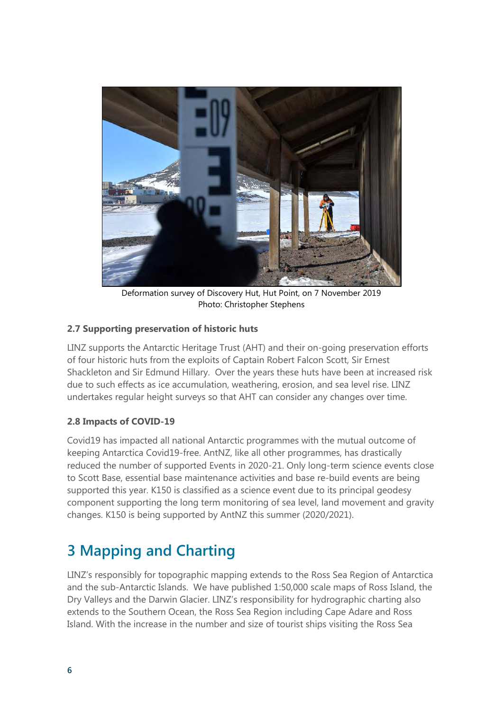

Deformation survey of Discovery Hut, Hut Point, on 7 November 2019 Photo: Christopher Stephens

### **2.7 Supporting preservation of historic huts**

LINZ supports the Antarctic Heritage Trust (AHT) and their on-going preservation efforts of four historic huts from the exploits of Captain Robert Falcon Scott, Sir Ernest Shackleton and Sir Edmund Hillary. Over the years these huts have been at increased risk due to such effects as ice accumulation, weathering, erosion, and sea level rise. LINZ undertakes regular height surveys so that AHT can consider any changes over time.

### **2.8 Impacts of COVID-19**

Covid19 has impacted all national Antarctic programmes with the mutual outcome of keeping Antarctica Covid19-free. AntNZ, like all other programmes, has drastically reduced the number of supported Events in 2020-21. Only long-term science events close to Scott Base, essential base maintenance activities and base re-build events are being supported this year. K150 is classified as a science event due to its principal geodesy component supporting the long term monitoring of sea level, land movement and gravity changes. K150 is being supported by AntNZ this summer (2020/2021).

### <span id="page-5-0"></span>**3 Mapping and Charting**

LINZ's responsibly for topographic mapping extends to the Ross Sea Region of Antarctica and the sub-Antarctic Islands. We have published 1:50,000 scale maps of Ross Island, the Dry Valleys and the Darwin Glacier. LINZ's responsibility for hydrographic charting also extends to the Southern Ocean, the Ross Sea Region including Cape Adare and Ross Island. With the increase in the number and size of tourist ships visiting the Ross Sea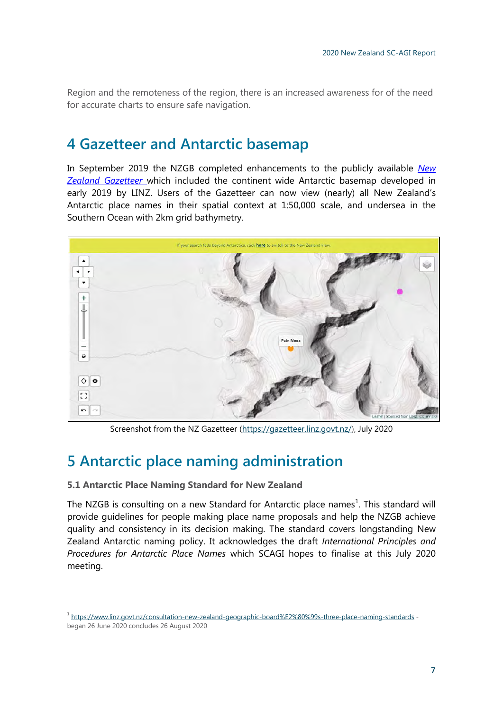Region and the remoteness of the region, there is an increased awareness for of the need for accurate charts to ensure safe navigation.

### <span id="page-6-0"></span>**4 Gazetteer and Antarctic basemap**

In September 2019 the NZGB completed enhancements to the publicly available *[New](https://gazetteer.linz.govt.nz/)  [Zealand Gazetteer](https://gazetteer.linz.govt.nz/)* which included the continent wide Antarctic basemap developed in early 2019 by LINZ. Users of the Gazetteer can now view (nearly) all New Zealand's Antarctic place names in their spatial context at 1:50,000 scale, and undersea in the Southern Ocean with 2km grid bathymetry.



Screenshot from the NZ Gazetteer [\(https://gazetteer.linz.govt.nz/\)](https://gazetteer.linz.govt.nz/), July 2020

### <span id="page-6-1"></span>**5 Antarctic place naming administration**

#### **5.1 Antarctic Place Naming Standard for New Zealand**

The NZGB is consulting on a new Standard for Antarctic place names<sup>1</sup>. This standard will provide guidelines for people making place name proposals and help the NZGB achieve quality and consistency in its decision making. The standard covers longstanding New Zealand Antarctic naming policy. It acknowledges the draft *International Principles and Procedures for Antarctic Place Names* which SCAGI hopes to finalise at this July 2020 meeting.

**<sup>1</sup>** <https://www.linz.govt.nz/consultation-new-zealand-geographic-board%E2%80%99s-three-place-naming-standards> began 26 June 2020 concludes 26 August 2020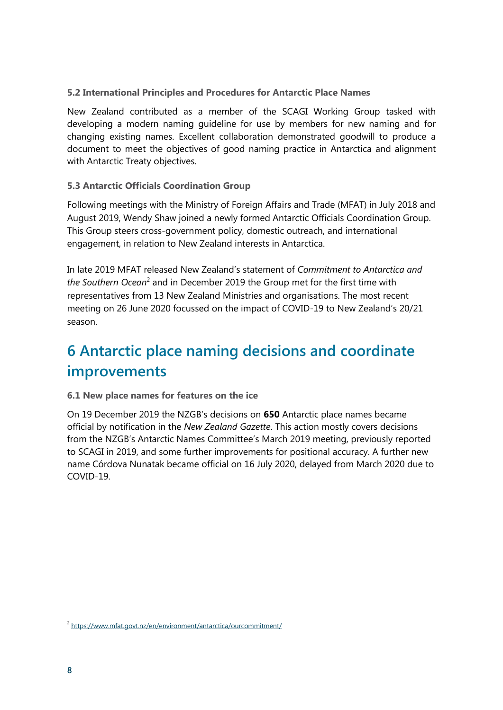### **5.2 International Principles and Procedures for Antarctic Place Names**

New Zealand contributed as a member of the SCAGI Working Group tasked with developing a modern naming guideline for use by members for new naming and for changing existing names. Excellent collaboration demonstrated goodwill to produce a document to meet the objectives of good naming practice in Antarctica and alignment with Antarctic Treaty objectives.

### **5.3 Antarctic Officials Coordination Group**

Following meetings with the Ministry of Foreign Affairs and Trade (MFAT) in July 2018 and August 2019, Wendy Shaw joined a newly formed Antarctic Officials Coordination Group. This Group steers cross-government policy, domestic outreach, and international engagement, in relation to New Zealand interests in Antarctica.

In late 2019 MFAT released New Zealand's statement of *Commitment to Antarctica and*  the Southern Ocean<sup>2</sup> and in December 2019 the Group met for the first time with representatives from 13 New Zealand Ministries and organisations. The most recent meeting on 26 June 2020 focussed on the impact of COVID-19 to New Zealand's 20/21 season.

### <span id="page-7-0"></span>**6 Antarctic place naming decisions and coordinate improvements**

#### **6.1 New place names for features on the ice**

On 19 December 2019 the NZGB's decisions on **650** Antarctic place names became official by notification in the *New Zealand Gazette*. This action mostly covers decisions from the NZGB's Antarctic Names Committee's March 2019 meeting, previously reported to SCAGI in 2019, and some further improvements for positional accuracy. A further new name Córdova Nunatak became official on 16 July 2020, delayed from March 2020 due to COVID-19.

**<sup>2</sup>** <https://www.mfat.govt.nz/en/environment/antarctica/ourcommitment/>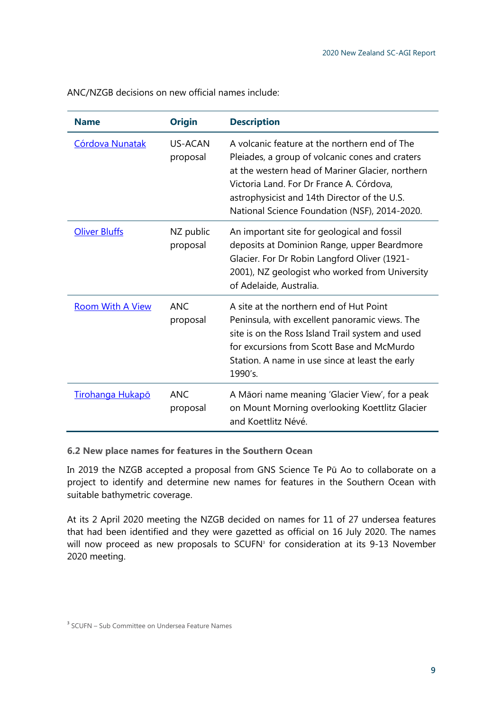| <b>Name</b>             | <b>Origin</b>          | <b>Description</b>                                                                                                                                                                                                                                                                                |
|-------------------------|------------------------|---------------------------------------------------------------------------------------------------------------------------------------------------------------------------------------------------------------------------------------------------------------------------------------------------|
| <b>Córdova Nunatak</b>  | US-ACAN<br>proposal    | A volcanic feature at the northern end of The<br>Pleiades, a group of volcanic cones and craters<br>at the western head of Mariner Glacier, northern<br>Victoria Land. For Dr France A. Córdova,<br>astrophysicist and 14th Director of the U.S.<br>National Science Foundation (NSF), 2014-2020. |
| <b>Oliver Bluffs</b>    | NZ public<br>proposal  | An important site for geological and fossil<br>deposits at Dominion Range, upper Beardmore<br>Glacier. For Dr Robin Langford Oliver (1921-<br>2001), NZ geologist who worked from University<br>of Adelaide, Australia.                                                                           |
| <b>Room With A View</b> | <b>ANC</b><br>proposal | A site at the northern end of Hut Point<br>Peninsula, with excellent panoramic views. The<br>site is on the Ross Island Trail system and used<br>for excursions from Scott Base and McMurdo<br>Station. A name in use since at least the early<br>1990's.                                         |

ANC/NZGB decisions on new official names include:

### **6.2 New place names for features in the Southern Ocean**

proposal

In 2019 the NZGB accepted a proposal from GNS Science Te Pū Ao to collaborate on a project to identify and determine new names for features in the Southern Ocean with suitable bathymetric coverage.

and Koettlitz Névé.

A Māori name meaning 'Glacier View', for a peak on Mount Morning overlooking Koettlitz Glacier

At its 2 April 2020 meeting the NZGB decided on names for 11 of 27 undersea features that had been identified and they were gazetted as official on 16 July 2020. The names will now proceed as new proposals to SCUFN**<sup>3</sup>** for consideration at its 9-13 November 2020 meeting.

[Tirohanga Hukapō](https://gazetteer.linz.govt.nz/place/58943) ANC

**<sup>3</sup>** SCUFN – Sub Committee on Undersea Feature Names